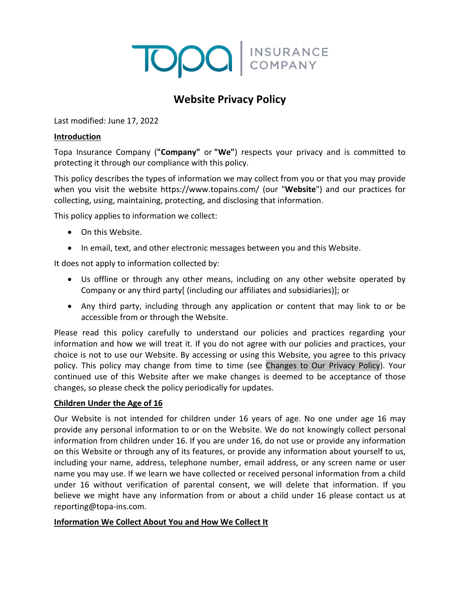# **TODO** INSURANCE

# **Website Privacy Policy**

Last modified: June 17, 2022

#### **Introduction**

Topa Insurance Company (**"Company"** or **"We"**) respects your privacy and is committed to protecting it through our compliance with this policy.

This policy describes the types of information we may collect from you or that you may provide when you visit the website https://www.topains.com/ (our "**Website**") and our practices for collecting, using, maintaining, protecting, and disclosing that information.

This policy applies to information we collect:

- On this Website.
- In email, text, and other electronic messages between you and this Website.

It does not apply to information collected by:

- Us offline or through any other means, including on any other website operated by Company or any third party[ (including our affiliates and subsidiaries)]; or
- Any third party, including through any application or content that may link to or be accessible from or through the Website.

Please read this policy carefully to understand our policies and practices regarding your information and how we will treat it. If you do not agree with our policies and practices, your choice is not to use our Website. By accessing or using this Website, you agree to this privacy policy. This policy may change from time to time (see [Changes to Our Privacy Policy\)](#page-5-0). Your continued use of this Website after we make changes is deemed to be acceptance of those changes, so please check the policy periodically for updates.

#### **Children Under the Age of 16**

Our Website is not intended for children under 16 years of age. No one under age 16 may provide any personal information to or on the Website. We do not knowingly collect personal information from children under 16. If you are under 16, do not use or provide any information on this Website or through any of its features, or provide any information about yourself to us, including your name, address, telephone number, email address, or any screen name or user name you may use. If we learn we have collected or received personal information from a child under 16 without verification of parental consent, we will delete that information. If you believe we might have any information from or about a child under 16 please contact us at [reporting@topa-ins.com.](mailto:reporting@topa-ins.com)

# **Information We Collect About You and How We Collect It**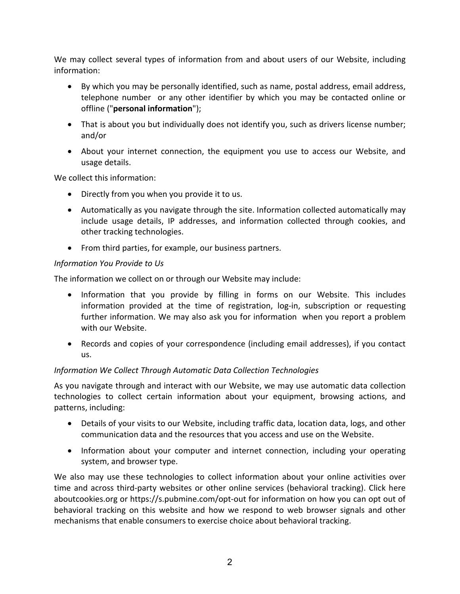We may collect several types of information from and about users of our Website, including information:

- By which you may be personally identified, such as name, postal address, email address, telephone number or any other identifier by which you may be contacted online or offline ("**personal information**");
- That is about you but individually does not identify you, such as drivers license number; and/or
- About your internet connection, the equipment you use to access our Website, and usage details.

We collect this information:

- Directly from you when you provide it to us.
- Automatically as you navigate through the site. Information collected automatically may include usage details, IP addresses, and information collected through cookies, and other tracking technologies.
- From third parties, for example, our business partners.

#### *Information You Provide to Us*

The information we collect on or through our Website may include:

- Information that you provide by filling in forms on our Website. This includes information provided at the time of registration, log-in, subscription or requesting further information. We may also ask you for information when you report a problem with our Website.
- Records and copies of your correspondence (including email addresses), if you contact us.

# *Information We Collect Through Automatic Data Collection Technologies*

As you navigate through and interact with our Website, we may use automatic data collection technologies to collect certain information about your equipment, browsing actions, and patterns, including:

- Details of your visits to our Website, including traffic data, location data, logs, and other communication data and the resources that you access and use on the Website.
- Information about your computer and internet connection, including your operating system, and browser type.

We also may use these technologies to collect information about your online activities over time and across third-party websites or other online services (behavioral tracking). Click here aboutcookies.org or<https://s.pubmine.com/opt-out> for information on how you can opt out of behavioral tracking on this website and how we respond to web browser signals and other mechanisms that enable consumers to exercise choice about behavioral tracking.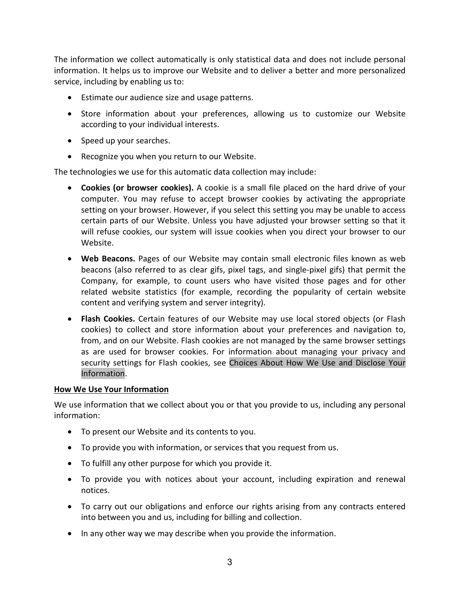The information we collect automatically is only statistical data and does not include personal information. It helps us to improve our Website and to deliver a better and more personalized service, including by enabling us to:

- Estimate our audience size and usage patterns.
- Store information about your preferences, allowing us to customize our Website according to your individual interests.
- Speed up your searches.
- Recognize you when you return to our Website.

The technologies we use for this automatic data collection may include:

- **Cookies (or browser cookies).** A cookie is a small file placed on the hard drive of your computer. You may refuse to accept browser cookies by activating the appropriate setting on your browser. However, if you select this setting you may be unable to access certain parts of our Website. Unless you have adjusted your browser setting so that it will refuse cookies, our system will issue cookies when you direct your browser to our Website.
- **Web Beacons.** Pages of our Website may contain small electronic files known as web beacons (also referred to as clear gifs, pixel tags, and single-pixel gifs) that permit the Company, for example, to count users who have visited those pages and for other related website statistics (for example, recording the popularity of certain website content and verifying system and server integrity).
- **Flash Cookies.** Certain features of our Website may use local stored objects (or Flash cookies) to collect and store information about your preferences and navigation to, from, and on our Website. Flash cookies are not managed by the same browser settings as are used for browser cookies. For information about managing your privacy and security settings for Flash cookies, see [Choices About How We Use and Disclose](#page-4-0) Your [Information.](#page-4-0)

# **How We Use Your Information**

We use information that we collect about you or that you provide to us, including any personal information:

- To present our Website and its contents to you.
- To provide you with information, or services that you request from us.
- To fulfill any other purpose for which you provide it.
- To provide you with notices about your account, including expiration and renewal notices.
- To carry out our obligations and enforce our rights arising from any contracts entered into between you and us, including for billing and collection.
- In any other way we may describe when you provide the information.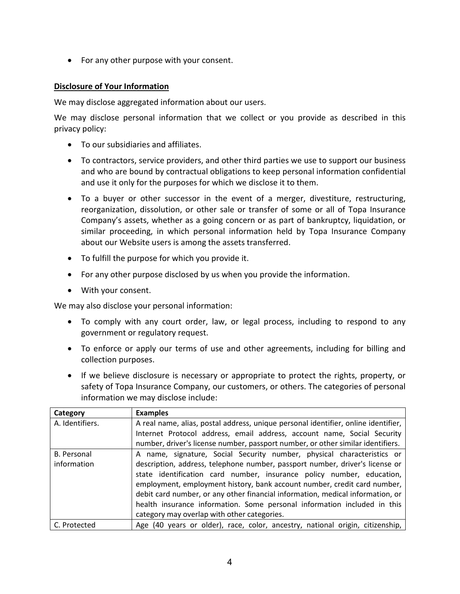• For any other purpose with your consent.

# **Disclosure of Your Information**

We may disclose aggregated information about our users.

We may disclose personal information that we collect or you provide as described in this privacy policy:

- To our subsidiaries and affiliates.
- To contractors, service providers, and other third parties we use to support our business and who are bound by contractual obligations to keep personal information confidential and use it only for the purposes for which we disclose it to them.
- To a buyer or other successor in the event of a merger, divestiture, restructuring, reorganization, dissolution, or other sale or transfer of some or all of Topa Insurance Company's assets, whether as a going concern or as part of bankruptcy, liquidation, or similar proceeding, in which personal information held by Topa Insurance Company about our Website users is among the assets transferred.
- To fulfill the purpose for which you provide it.
- For any other purpose disclosed by us when you provide the information.
- With your consent.

We may also disclose your personal information:

- To comply with any court order, law, or legal process, including to respond to any government or regulatory request.
- To enforce or apply our terms of use and other agreements, including for billing and collection purposes.
- If we believe disclosure is necessary or appropriate to protect the rights, property, or safety of Topa Insurance Company, our customers, or others. The categories of personal information we may disclose include:

| Category           | <b>Examples</b>                                                                    |
|--------------------|------------------------------------------------------------------------------------|
| A. Identifiers.    | A real name, alias, postal address, unique personal identifier, online identifier, |
|                    | Internet Protocol address, email address, account name, Social Security            |
|                    | number, driver's license number, passport number, or other similar identifiers.    |
| <b>B.</b> Personal | A name, signature, Social Security number, physical characteristics or             |
| information        | description, address, telephone number, passport number, driver's license or       |
|                    | state identification card number, insurance policy number, education,              |
|                    | employment, employment history, bank account number, credit card number,           |
|                    | debit card number, or any other financial information, medical information, or     |
|                    | health insurance information. Some personal information included in this           |
|                    | category may overlap with other categories.                                        |
| C. Protected       | Age (40 years or older), race, color, ancestry, national origin, citizenship,      |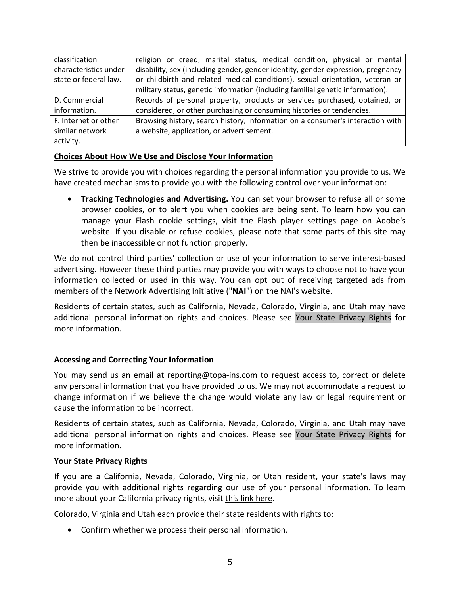| classification        | religion or creed, marital status, medical condition, physical or mental         |
|-----------------------|----------------------------------------------------------------------------------|
| characteristics under | disability, sex (including gender, gender identity, gender expression, pregnancy |
| state or federal law. | or childbirth and related medical conditions), sexual orientation, veteran or    |
|                       | military status, genetic information (including familial genetic information).   |
| D. Commercial         | Records of personal property, products or services purchased, obtained, or       |
| information.          | considered, or other purchasing or consuming histories or tendencies.            |
| F. Internet or other  | Browsing history, search history, information on a consumer's interaction with   |
| similar network       | a website, application, or advertisement.                                        |
| activity.             |                                                                                  |

#### <span id="page-4-0"></span>**Choices About How We Use and Disclose Your Information**

We strive to provide you with choices regarding the personal information you provide to us. We have created mechanisms to provide you with the following control over your information:

• **Tracking Technologies and Advertising.** You can set your browser to refuse all or some browser cookies, or to alert you when cookies are being sent. To learn how you can manage your Flash cookie settings, visit the Flash player settings page on Adobe's website. If you disable or refuse cookies, please note that some parts of this site may then be inaccessible or not function properly.

We do not control third parties' collection or use of your information to serve interest-based advertising. However these third parties may provide you with ways to choose not to have your information collected or used in this way. You can opt out of receiving targeted ads from members of the Network Advertising Initiative ("**NAI**") on the NAI's website.

Residents of certain states, such as California, Nevada, Colorado, Virginia, and Utah may have additional personal information rights and choices. Please see Your State Privacy Rights for more information.

# **Accessing and Correcting Your Information**

You may send us an email at reporting@topa-ins.com to request access to, correct or delete any personal information that you have provided to us. We may not accommodate a request to change information if we believe the change would violate any law or legal requirement or cause the information to be incorrect.

Residents of certain states, such as California, Nevada, Colorado, Virginia, and Utah may have additional personal information rights and choices. Please see Your State Privacy Rights for more information.

#### **Your State Privacy Rights**

If you are a California, Nevada, Colorado, Virginia, or Utah resident, your state's laws may provide you with additional rights regarding our use of your personal information. To learn more about your California privacy rights, visit this link here.

Colorado, Virginia and Utah each provide their state residents with rights to:

• Confirm whether we process their personal information.